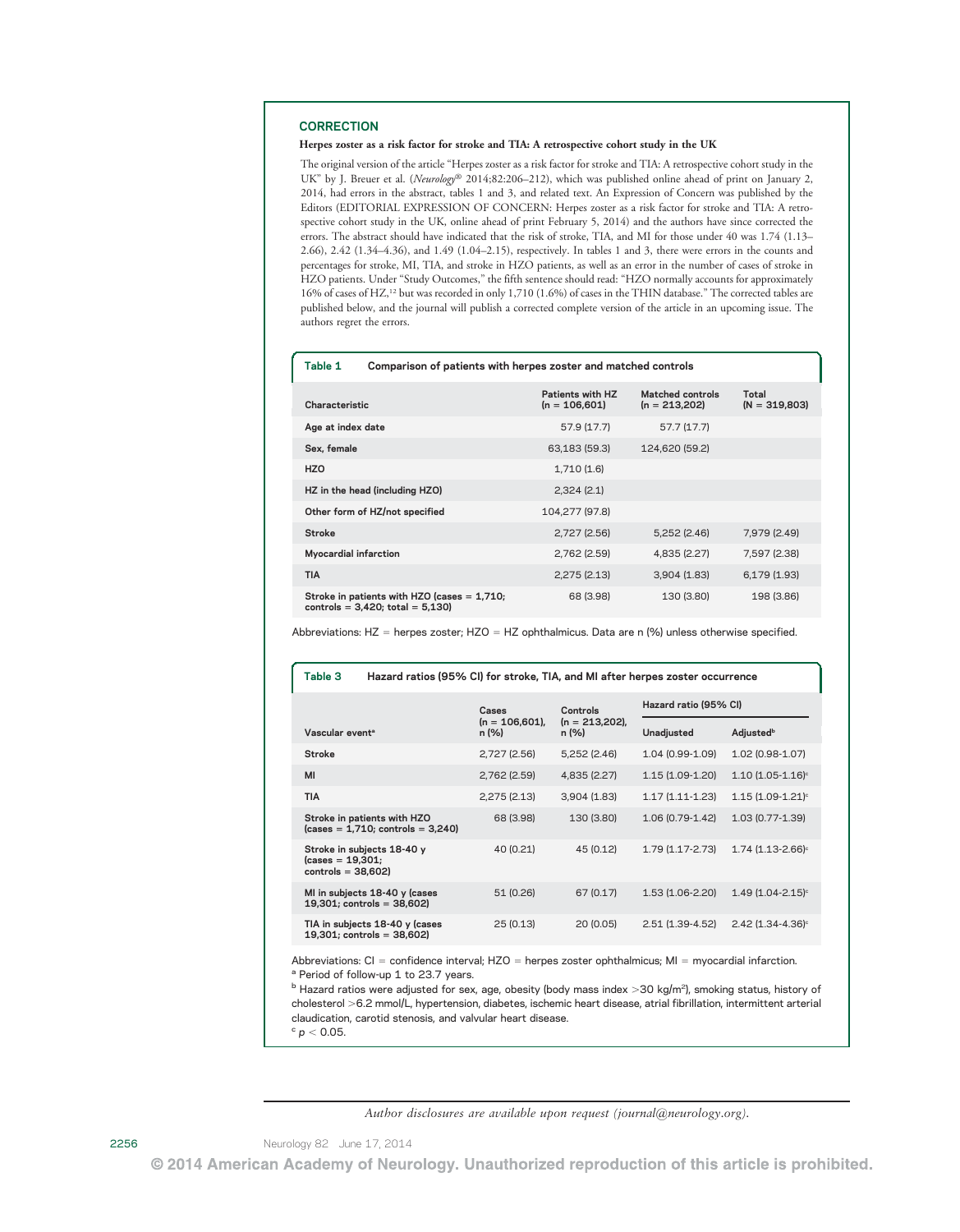## **CORRECTION**

## Herpes zoster as a risk factor for stroke and TIA: A retrospective cohort study in the UK

The original version of the article "Herpes zoster as a risk factor for stroke and TIA: A retrospective cohort study in the UK" by J. Breuer et al. (Neurology® 2014;82:206–212), which was published online ahead of print on January 2, 2014, had errors in the abstract, tables 1 and 3, and related text. An Expression of Concern was published by the Editors (EDITORIAL EXPRESSION OF CONCERN: Herpes zoster as a risk factor for stroke and TIA: A retrospective cohort study in the UK, online ahead of print February 5, 2014) and the authors have since corrected the errors. The abstract should have indicated that the risk of stroke, TIA, and MI for those under 40 was 1.74 (1.13– 2.66), 2.42 (1.34–4.36), and 1.49 (1.04–2.15), respectively. In tables 1 and 3, there were errors in the counts and percentages for stroke, MI, TIA, and stroke in HZO patients, as well as an error in the number of cases of stroke in HZO patients. Under "Study Outcomes," the fifth sentence should read: "HZO normally accounts for approximately 16% of cases of HZ,12 but was recorded in only 1,710 (1.6%) of cases in the THIN database." The corrected tables are published below, and the journal will publish a corrected complete version of the article in an upcoming issue. The authors regret the errors.

| Table 1<br>Comparison of patients with herpes zoster and matched controls             |                                            |                                     |                          |  |  |
|---------------------------------------------------------------------------------------|--------------------------------------------|-------------------------------------|--------------------------|--|--|
| Characteristic                                                                        | <b>Patients with HZ</b><br>$(n = 106,601)$ | Matched controls<br>$(n = 213,202)$ | Total<br>$(N = 319,803)$ |  |  |
| Age at index date                                                                     | 57.9 (17.7)                                | 57.7 (17.7)                         |                          |  |  |
| Sex, female                                                                           | 63,183 (59.3)                              | 124,620 (59.2)                      |                          |  |  |
| <b>HZO</b>                                                                            | 1,710(1.6)                                 |                                     |                          |  |  |
| HZ in the head (including HZO)                                                        | 2,324(2.1)                                 |                                     |                          |  |  |
| Other form of HZ/not specified                                                        | 104,277 (97.8)                             |                                     |                          |  |  |
| <b>Stroke</b>                                                                         | 2,727 (2.56)                               | 5.252(2.46)                         | 7.979 (2.49)             |  |  |
| <b>Myocardial infarction</b>                                                          | 2,762 (2.59)                               | 4,835 (2.27)                        | 7.597 (2.38)             |  |  |
| <b>TIA</b>                                                                            | 2,275(2.13)                                | 3,904(1.83)                         | 6,179 (1.93)             |  |  |
| Stroke in patients with HZO (cases = 1,710;<br>controls = $3,420$ ; total = $5,130$ ) | 68 (3.98)                                  | 130 (3.80)                          | 198 (3.86)               |  |  |

Abbreviations: HZ = herpes zoster; HZO = HZ ophthalmicus. Data are n  $(%)$  unless otherwise specified.

Table 3 Hazard ratios (95% CI) for stroke, TIA, and MI after herpes zoster occurrence

|                                                                           | Cases                      | Controls                   | Hazard ratio (95% CI) |                                 |
|---------------------------------------------------------------------------|----------------------------|----------------------------|-----------------------|---------------------------------|
| Vascular event <sup>a</sup>                                               | $(n = 106,601)$ ,<br>n (%) | $(n = 213,202)$ ,<br>n (%) | Unadjusted            | <b>Adjusted</b> <sup>b</sup>    |
| <b>Stroke</b>                                                             | 2,727 (2.56)               | 5,252(2.46)                | 1.04 (0.99-1.09)      | 1.02 (0.98-1.07)                |
| MI                                                                        | $2,762$ (2.59)             | 4,835 (2.27)               | 1.15 (1.09-1.20)      | $1.10(1.05-1.16)$ <sup>c</sup>  |
| <b>TIA</b>                                                                | 2,275(2.13)                | 3,904(1.83)                | $1.17(1.11-1.23)$     | $1.15(1.09-1.21)$ c             |
| Stroke in patients with HZO<br>$(cases = 1,710; controls = 3,240)$        | 68 (3.98)                  | 130 (3.80)                 | 1.06 (0.79-1.42)      | 1.03 (0.77-1.39)                |
| Stroke in subjects 18-40 y<br>$(cases = 19,301;$<br>controls = $38,602$ ) | 40 (0.21)                  | 45 (0.12)                  | 1.79 (1.17-2.73)      | $1.74$ (1.13-2.66) <sup>c</sup> |
| MI in subjects 18-40 y (cases<br>$19,301$ ; controls = 38,602)            | 51 (0.26)                  | 67 (0.17)                  | 1.53 (1.06-2.20)      | $1.49(1.04 - 2.15)$ c           |
| TIA in subjects 18-40 y (cases<br>$19,301$ ; controls = $38,602$ )        | 25(0.13)                   | 20(0.05)                   | 2.51 (1.39-4.52)      | $2.42$ (1.34-4.36) <sup>c</sup> |

Abbreviations: CI = confidence interval; HZO = herpes zoster ophthalmicus; MI = myocardial infarction. <sup>a</sup> Period of follow-up 1 to 23.7 years.

 $^{\rm b}$  Hazard ratios were adjusted for sex, age, obesity (body mass index >30 kg/m<sup>2</sup>), smoking status, history of cholesterol >6.2 mmol/L, hypertension, diabetes, ischemic heart disease, atrial fibrillation, intermittent arterial claudication, carotid stenosis, and valvular heart disease.

 $\degree$  p  $<$  0.05.

Author disclosures are available upon request ([journal@neurology.org\)](mailto:journal@neurology.org).

Neurology 82 June 17, 2014<br>© 2014 American Academy of Neurology. Unauthorized reproduction of this article is prohibited.